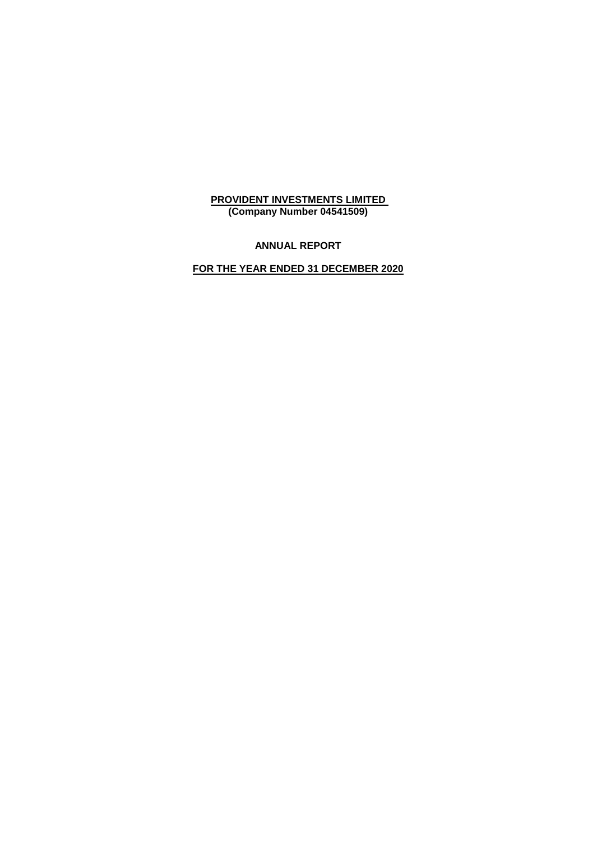**ANNUAL REPORT**

**FOR THE YEAR ENDED 31 DECEMBER 2020**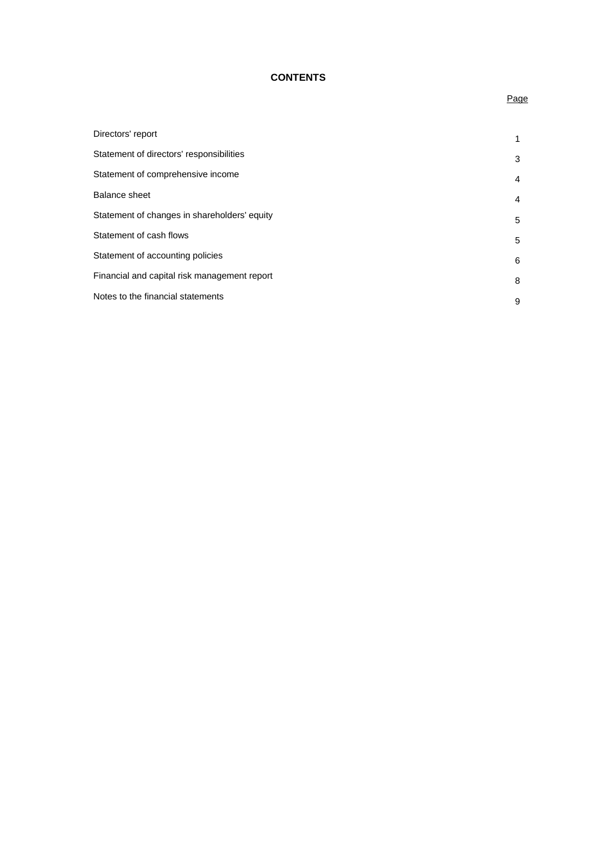# **CONTENTS**

# Page

| Directors' report                            | 1 |
|----------------------------------------------|---|
| Statement of directors' responsibilities     | 3 |
| Statement of comprehensive income            | 4 |
| Balance sheet                                | 4 |
| Statement of changes in shareholders' equity | 5 |
| Statement of cash flows                      | 5 |
| Statement of accounting policies             | 6 |
| Financial and capital risk management report | 8 |
| Notes to the financial statements            | 9 |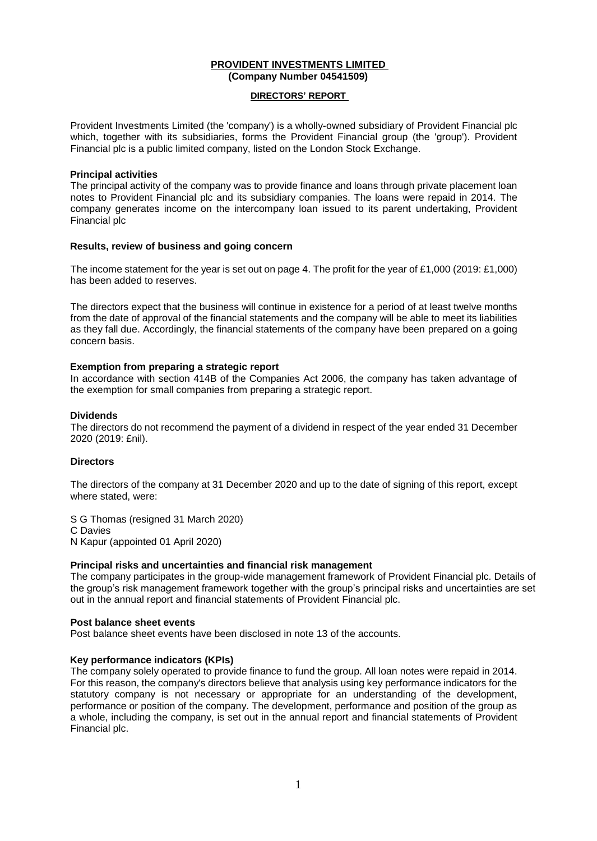#### **DIRECTORS' REPORT**

Provident Investments Limited (the 'company') is a wholly-owned subsidiary of Provident Financial plc which, together with its subsidiaries, forms the Provident Financial group (the 'group'). Provident Financial plc is a public limited company, listed on the London Stock Exchange.

#### **Principal activities**

The principal activity of the company was to provide finance and loans through private placement loan notes to Provident Financial plc and its subsidiary companies. The loans were repaid in 2014. The company generates income on the intercompany loan issued to its parent undertaking, Provident Financial plc

#### **Results, review of business and going concern**

The income statement for the year is set out on page 4. The profit for the year of £1,000 (2019: £1,000) has been added to reserves.

The directors expect that the business will continue in existence for a period of at least twelve months from the date of approval of the financial statements and the company will be able to meet its liabilities as they fall due. Accordingly, the financial statements of the company have been prepared on a going concern basis.

#### **Exemption from preparing a strategic report**

In accordance with section 414B of the Companies Act 2006, the company has taken advantage of the exemption for small companies from preparing a strategic report.

#### **Dividends**

The directors do not recommend the payment of a dividend in respect of the year ended 31 December 2020 (2019: £nil).

#### **Directors**

The directors of the company at 31 December 2020 and up to the date of signing of this report, except where stated, were:

S G Thomas (resigned 31 March 2020) C Davies N Kapur (appointed 01 April 2020)

#### **Principal risks and uncertainties and financial risk management**

The company participates in the group-wide management framework of Provident Financial plc. Details of the group's risk management framework together with the group's principal risks and uncertainties are set out in the annual report and financial statements of Provident Financial plc.

#### **Post balance sheet events**

Post balance sheet events have been disclosed in note 13 of the accounts.

#### **Key performance indicators (KPIs)**

The company solely operated to provide finance to fund the group. All loan notes were repaid in 2014. For this reason, the company's directors believe that analysis using key performance indicators for the statutory company is not necessary or appropriate for an understanding of the development, performance or position of the company. The development, performance and position of the group as a whole, including the company, is set out in the annual report and financial statements of Provident Financial plc.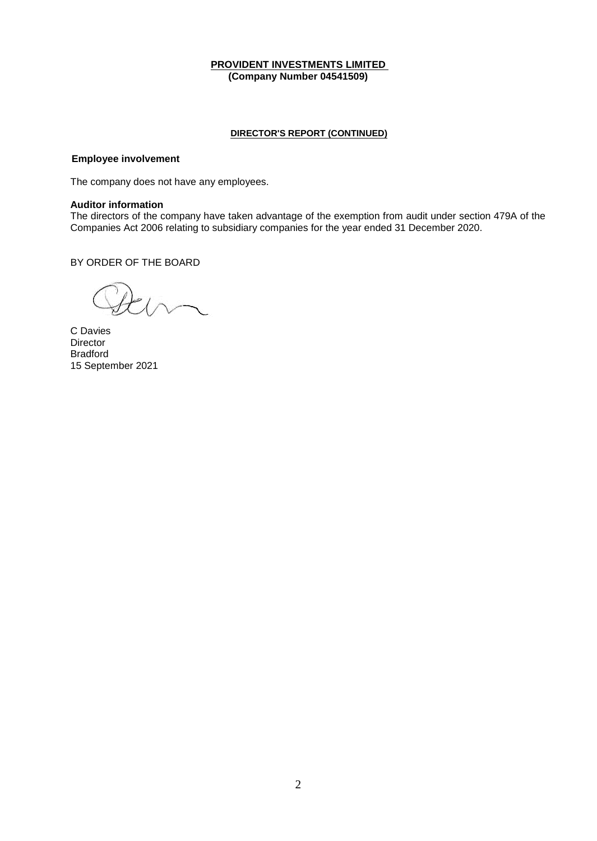# **DIRECTOR'S REPORT (CONTINUED)**

### **Employee involvement**

The company does not have any employees.

#### **Auditor information**

The directors of the company have taken advantage of the exemption from audit under section 479A of the Companies Act 2006 relating to subsidiary companies for the year ended 31 December 2020.

BY ORDER OF THE BOARD

C Davies **Director** Bradford 15 September 2021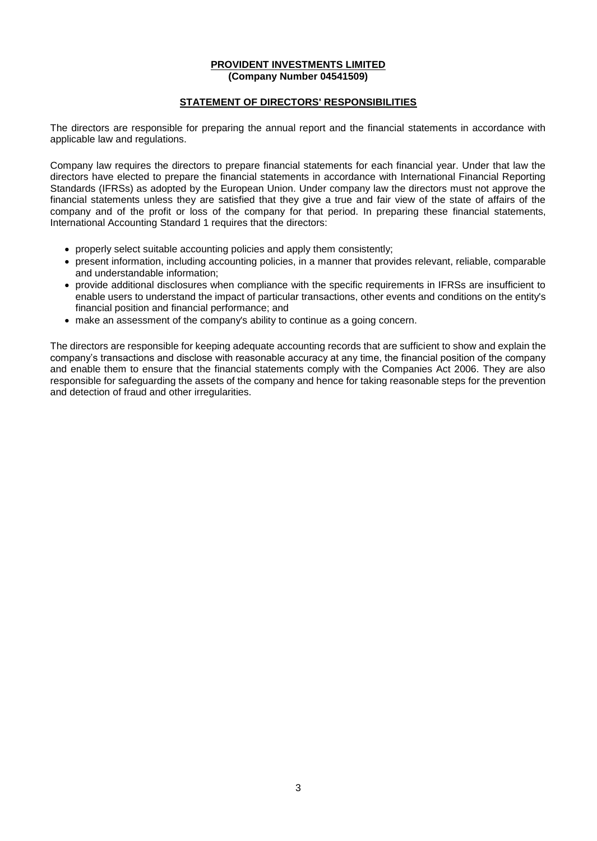### **STATEMENT OF DIRECTORS' RESPONSIBILITIES**

The directors are responsible for preparing the annual report and the financial statements in accordance with applicable law and regulations.

Company law requires the directors to prepare financial statements for each financial year. Under that law the directors have elected to prepare the financial statements in accordance with International Financial Reporting Standards (IFRSs) as adopted by the European Union. Under company law the directors must not approve the financial statements unless they are satisfied that they give a true and fair view of the state of affairs of the company and of the profit or loss of the company for that period. In preparing these financial statements, International Accounting Standard 1 requires that the directors:

- properly select suitable accounting policies and apply them consistently;
- present information, including accounting policies, in a manner that provides relevant, reliable, comparable and understandable information;
- provide additional disclosures when compliance with the specific requirements in IFRSs are insufficient to enable users to understand the impact of particular transactions, other events and conditions on the entity's financial position and financial performance; and
- make an assessment of the company's ability to continue as a going concern.

The directors are responsible for keeping adequate accounting records that are sufficient to show and explain the company's transactions and disclose with reasonable accuracy at any time, the financial position of the company and enable them to ensure that the financial statements comply with the Companies Act 2006. They are also responsible for safeguarding the assets of the company and hence for taking reasonable steps for the prevention and detection of fraud and other irregularities.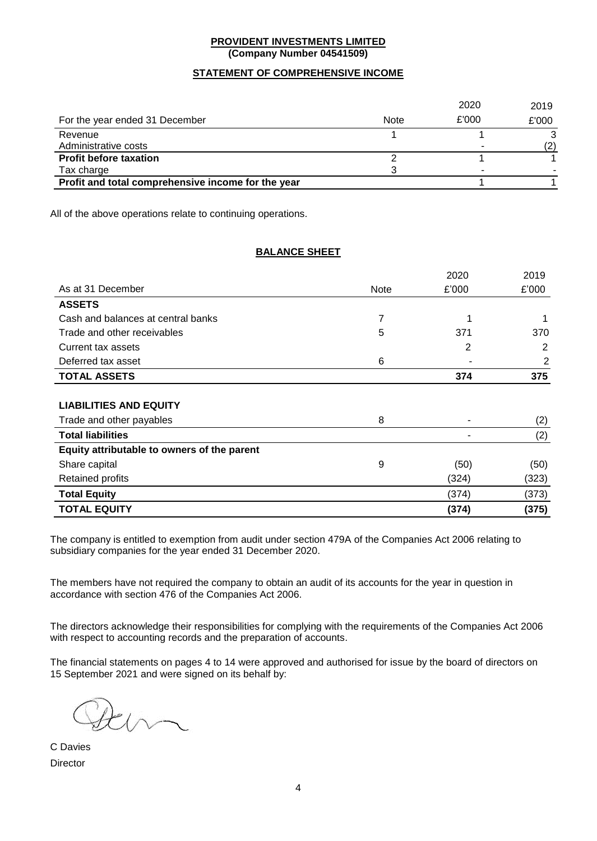# **STATEMENT OF COMPREHENSIVE INCOME**

|                                                    |             | 2020  | 2019  |
|----------------------------------------------------|-------------|-------|-------|
| For the year ended 31 December                     | <b>Note</b> | £'000 | £'000 |
| Revenue                                            |             |       |       |
| Administrative costs                               |             |       | (2)   |
| <b>Profit before taxation</b>                      |             |       |       |
| Tax charge                                         |             |       |       |
| Profit and total comprehensive income for the year |             |       |       |

All of the above operations relate to continuing operations.

# **BALANCE SHEET**

|                                             |             | 2020  | 2019           |
|---------------------------------------------|-------------|-------|----------------|
| As at 31 December                           | <b>Note</b> | £'000 | £'000          |
| <b>ASSETS</b>                               |             |       |                |
| Cash and balances at central banks          | 7           | 1     |                |
| Trade and other receivables                 | 5           | 371   | 370            |
| Current tax assets                          |             | 2     | 2              |
| Deferred tax asset                          | 6           |       | $\overline{2}$ |
| <b>TOTAL ASSETS</b>                         |             | 374   | 375            |
|                                             |             |       |                |
| <b>LIABILITIES AND EQUITY</b>               |             |       |                |
| Trade and other payables                    | 8           |       | (2)            |
| <b>Total liabilities</b>                    |             |       | (2)            |
| Equity attributable to owners of the parent |             |       |                |
| Share capital                               | 9           | (50)  | (50)           |
| <b>Retained profits</b>                     |             | (324) | (323)          |
| <b>Total Equity</b>                         |             | (374) | (373)          |
| <b>TOTAL EQUITY</b>                         |             | (374) | (375)          |

The company is entitled to exemption from audit under section 479A of the Companies Act 2006 relating to subsidiary companies for the year ended 31 December 2020.

The members have not required the company to obtain an audit of its accounts for the year in question in accordance with section 476 of the Companies Act 2006.

The directors acknowledge their responsibilities for complying with the requirements of the Companies Act 2006 with respect to accounting records and the preparation of accounts.

The financial statements on pages 4 to 14 were approved and authorised for issue by the board of directors on 15 September 2021 and were signed on its behalf by:

C Davies **Director**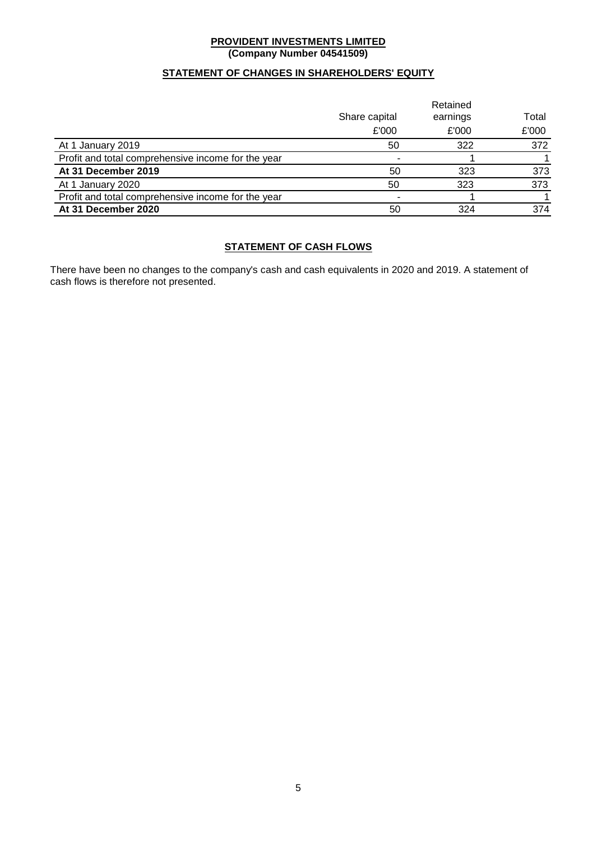# **STATEMENT OF CHANGES IN SHAREHOLDERS' EQUITY**

|                                                    |               | Retained |       |
|----------------------------------------------------|---------------|----------|-------|
|                                                    | Share capital | earnings | Total |
|                                                    | £'000         | £'000    | £'000 |
| At 1 January 2019                                  | 50            | 322      | 372   |
| Profit and total comprehensive income for the year |               |          |       |
| At 31 December 2019                                | 50            | 323      | 373   |
| At 1 January 2020                                  | 50            | 323      | 373   |
| Profit and total comprehensive income for the year |               |          |       |
| At 31 December 2020                                | 50            | 324      | 374   |

# **STATEMENT OF CASH FLOWS**

There have been no changes to the company's cash and cash equivalents in 2020 and 2019. A statement of cash flows is therefore not presented.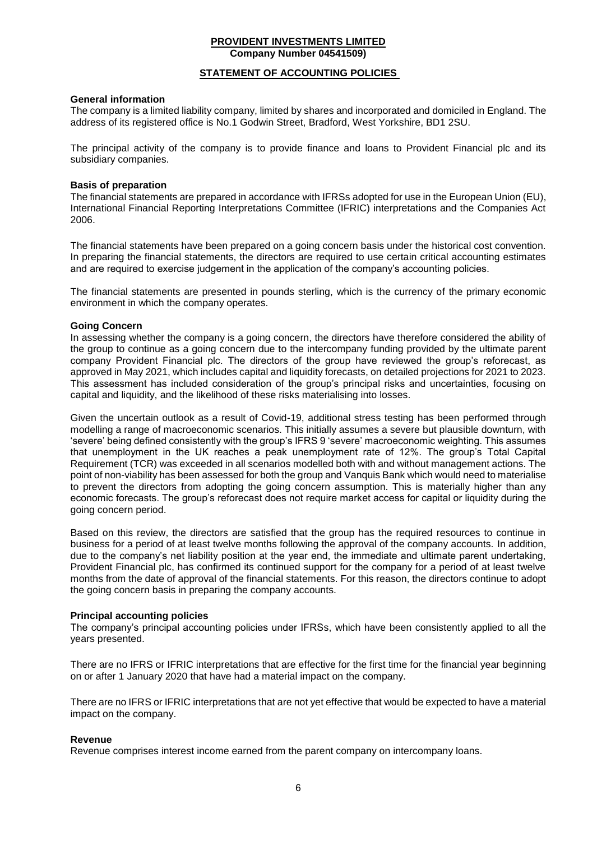### **STATEMENT OF ACCOUNTING POLICIES**

#### **General information**

The company is a limited liability company, limited by shares and incorporated and domiciled in England. The address of its registered office is No.1 Godwin Street, Bradford, West Yorkshire, BD1 2SU.

The principal activity of the company is to provide finance and loans to Provident Financial plc and its subsidiary companies.

#### **Basis of preparation**

The financial statements are prepared in accordance with IFRSs adopted for use in the European Union (EU), International Financial Reporting Interpretations Committee (IFRIC) interpretations and the Companies Act 2006.

The financial statements have been prepared on a going concern basis under the historical cost convention. In preparing the financial statements, the directors are required to use certain critical accounting estimates and are required to exercise judgement in the application of the company's accounting policies.

The financial statements are presented in pounds sterling, which is the currency of the primary economic environment in which the company operates.

#### **Going Concern**

In assessing whether the company is a going concern, the directors have therefore considered the ability of the group to continue as a going concern due to the intercompany funding provided by the ultimate parent company Provident Financial plc. The directors of the group have reviewed the group's reforecast, as approved in May 2021, which includes capital and liquidity forecasts, on detailed projections for 2021 to 2023. This assessment has included consideration of the group's principal risks and uncertainties, focusing on capital and liquidity, and the likelihood of these risks materialising into losses.

Given the uncertain outlook as a result of Covid-19, additional stress testing has been performed through modelling a range of macroeconomic scenarios. This initially assumes a severe but plausible downturn, with 'severe' being defined consistently with the group's IFRS 9 'severe' macroeconomic weighting. This assumes that unemployment in the UK reaches a peak unemployment rate of 12%. The group's Total Capital Requirement (TCR) was exceeded in all scenarios modelled both with and without management actions. The point of non-viability has been assessed for both the group and Vanquis Bank which would need to materialise to prevent the directors from adopting the going concern assumption. This is materially higher than any economic forecasts. The group's reforecast does not require market access for capital or liquidity during the going concern period.

Based on this review, the directors are satisfied that the group has the required resources to continue in business for a period of at least twelve months following the approval of the company accounts. In addition, due to the company's net liability position at the year end, the immediate and ultimate parent undertaking, Provident Financial plc, has confirmed its continued support for the company for a period of at least twelve months from the date of approval of the financial statements. For this reason, the directors continue to adopt the going concern basis in preparing the company accounts.

#### **Principal accounting policies**

The company's principal accounting policies under IFRSs, which have been consistently applied to all the years presented.

There are no IFRS or IFRIC interpretations that are effective for the first time for the financial year beginning on or after 1 January 2020 that have had a material impact on the company.

There are no IFRS or IFRIC interpretations that are not yet effective that would be expected to have a material impact on the company.

#### **Revenue**

Revenue comprises interest income earned from the parent company on intercompany loans.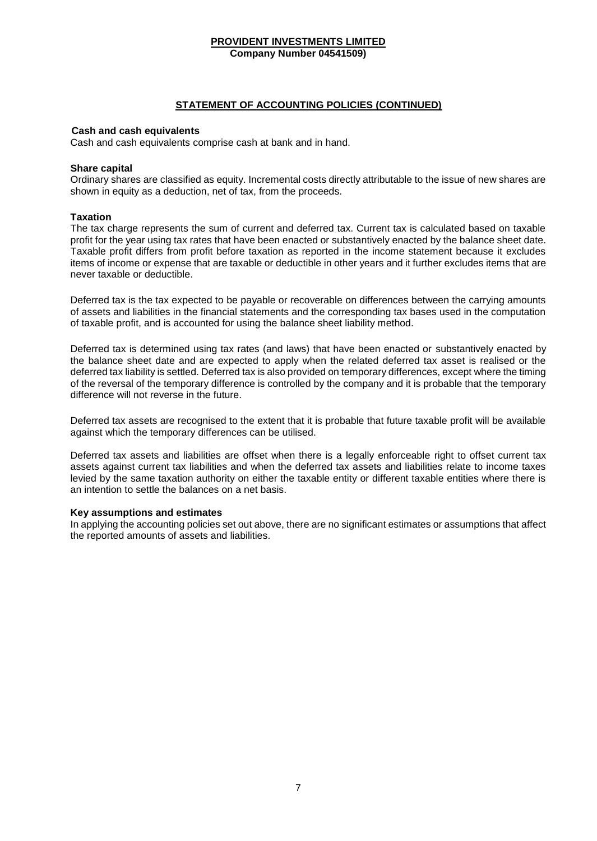### **STATEMENT OF ACCOUNTING POLICIES (CONTINUED)**

#### **Cash and cash equivalents**

Cash and cash equivalents comprise cash at bank and in hand.

#### **Share capital**

Ordinary shares are classified as equity. Incremental costs directly attributable to the issue of new shares are shown in equity as a deduction, net of tax, from the proceeds.

#### **Taxation**

The tax charge represents the sum of current and deferred tax. Current tax is calculated based on taxable profit for the year using tax rates that have been enacted or substantively enacted by the balance sheet date. Taxable profit differs from profit before taxation as reported in the income statement because it excludes items of income or expense that are taxable or deductible in other years and it further excludes items that are never taxable or deductible.

Deferred tax is the tax expected to be payable or recoverable on differences between the carrying amounts of assets and liabilities in the financial statements and the corresponding tax bases used in the computation of taxable profit, and is accounted for using the balance sheet liability method.

Deferred tax is determined using tax rates (and laws) that have been enacted or substantively enacted by the balance sheet date and are expected to apply when the related deferred tax asset is realised or the deferred tax liability is settled. Deferred tax is also provided on temporary differences, except where the timing of the reversal of the temporary difference is controlled by the company and it is probable that the temporary difference will not reverse in the future.

Deferred tax assets are recognised to the extent that it is probable that future taxable profit will be available against which the temporary differences can be utilised.

Deferred tax assets and liabilities are offset when there is a legally enforceable right to offset current tax assets against current tax liabilities and when the deferred tax assets and liabilities relate to income taxes levied by the same taxation authority on either the taxable entity or different taxable entities where there is an intention to settle the balances on a net basis.

#### **Key assumptions and estimates**

In applying the accounting policies set out above, there are no significant estimates or assumptions that affect the reported amounts of assets and liabilities.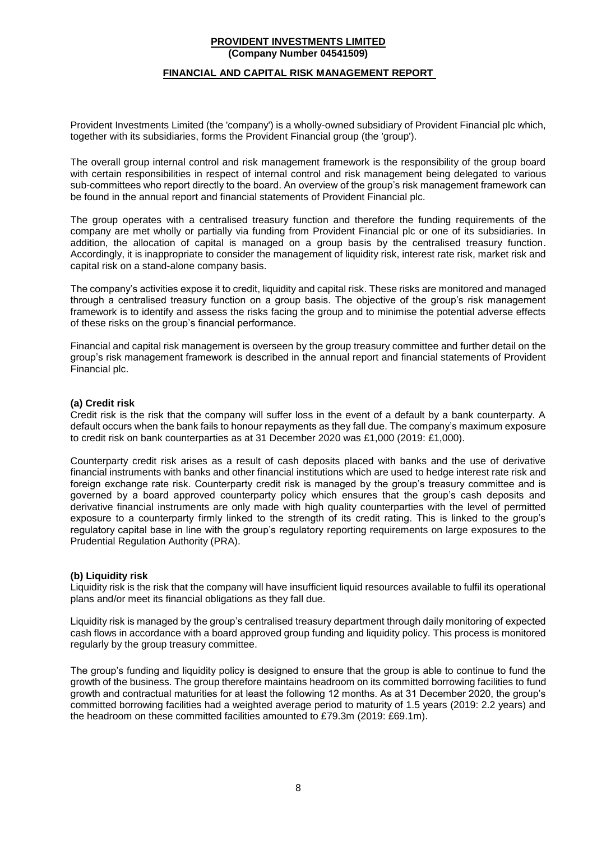### **FINANCIAL AND CAPITAL RISK MANAGEMENT REPORT**

Provident Investments Limited (the 'company') is a wholly-owned subsidiary of Provident Financial plc which, together with its subsidiaries, forms the Provident Financial group (the 'group').

The overall group internal control and risk management framework is the responsibility of the group board with certain responsibilities in respect of internal control and risk management being delegated to various sub-committees who report directly to the board. An overview of the group's risk management framework can be found in the annual report and financial statements of Provident Financial plc.

The group operates with a centralised treasury function and therefore the funding requirements of the company are met wholly or partially via funding from Provident Financial plc or one of its subsidiaries. In addition, the allocation of capital is managed on a group basis by the centralised treasury function. Accordingly, it is inappropriate to consider the management of liquidity risk, interest rate risk, market risk and capital risk on a stand-alone company basis.

The company's activities expose it to credit, liquidity and capital risk. These risks are monitored and managed through a centralised treasury function on a group basis. The objective of the group's risk management framework is to identify and assess the risks facing the group and to minimise the potential adverse effects of these risks on the group's financial performance.

Financial and capital risk management is overseen by the group treasury committee and further detail on the group's risk management framework is described in the annual report and financial statements of Provident Financial plc.

### **(a) Credit risk**

Credit risk is the risk that the company will suffer loss in the event of a default by a bank counterparty. A default occurs when the bank fails to honour repayments as they fall due. The company's maximum exposure to credit risk on bank counterparties as at 31 December 2020 was £1,000 (2019: £1,000).

Counterparty credit risk arises as a result of cash deposits placed with banks and the use of derivative financial instruments with banks and other financial institutions which are used to hedge interest rate risk and foreign exchange rate risk. Counterparty credit risk is managed by the group's treasury committee and is governed by a board approved counterparty policy which ensures that the group's cash deposits and derivative financial instruments are only made with high quality counterparties with the level of permitted exposure to a counterparty firmly linked to the strength of its credit rating. This is linked to the group's regulatory capital base in line with the group's regulatory reporting requirements on large exposures to the Prudential Regulation Authority (PRA).

### **(b) Liquidity risk**

Liquidity risk is the risk that the company will have insufficient liquid resources available to fulfil its operational plans and/or meet its financial obligations as they fall due.

Liquidity risk is managed by the group's centralised treasury department through daily monitoring of expected cash flows in accordance with a board approved group funding and liquidity policy. This process is monitored regularly by the group treasury committee.

The group's funding and liquidity policy is designed to ensure that the group is able to continue to fund the growth of the business. The group therefore maintains headroom on its committed borrowing facilities to fund growth and contractual maturities for at least the following 12 months. As at 31 December 2020, the group's committed borrowing facilities had a weighted average period to maturity of 1.5 years (2019: 2.2 years) and the headroom on these committed facilities amounted to £79.3m (2019: £69.1m).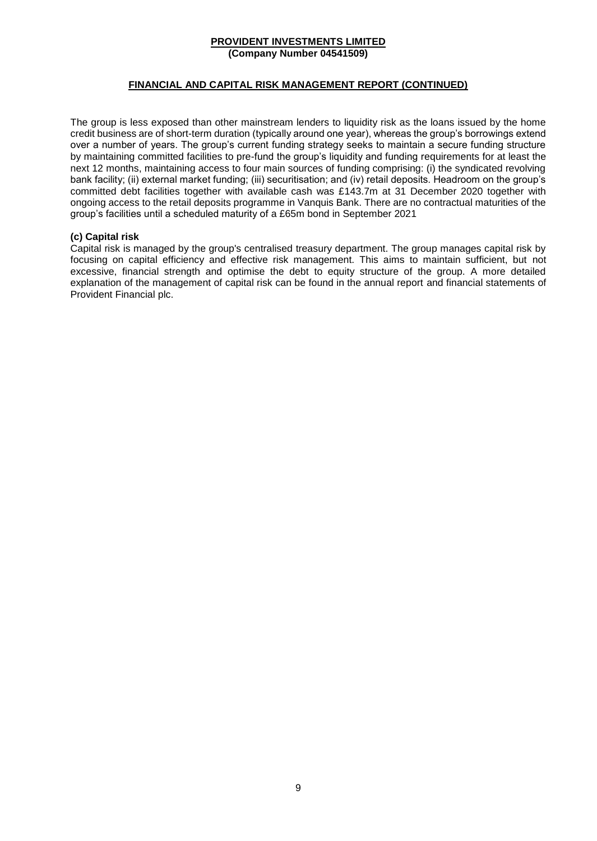# **FINANCIAL AND CAPITAL RISK MANAGEMENT REPORT (CONTINUED)**

The group is less exposed than other mainstream lenders to liquidity risk as the loans issued by the home credit business are of short-term duration (typically around one year), whereas the group's borrowings extend over a number of years. The group's current funding strategy seeks to maintain a secure funding structure by maintaining committed facilities to pre-fund the group's liquidity and funding requirements for at least the next 12 months, maintaining access to four main sources of funding comprising: (i) the syndicated revolving bank facility; (ii) external market funding; (iii) securitisation; and (iv) retail deposits. Headroom on the group's committed debt facilities together with available cash was £143.7m at 31 December 2020 together with ongoing access to the retail deposits programme in Vanquis Bank. There are no contractual maturities of the group's facilities until a scheduled maturity of a £65m bond in September 2021

### **(c) Capital risk**

Capital risk is managed by the group's centralised treasury department. The group manages capital risk by focusing on capital efficiency and effective risk management. This aims to maintain sufficient, but not excessive, financial strength and optimise the debt to equity structure of the group. A more detailed explanation of the management of capital risk can be found in the annual report and financial statements of Provident Financial plc.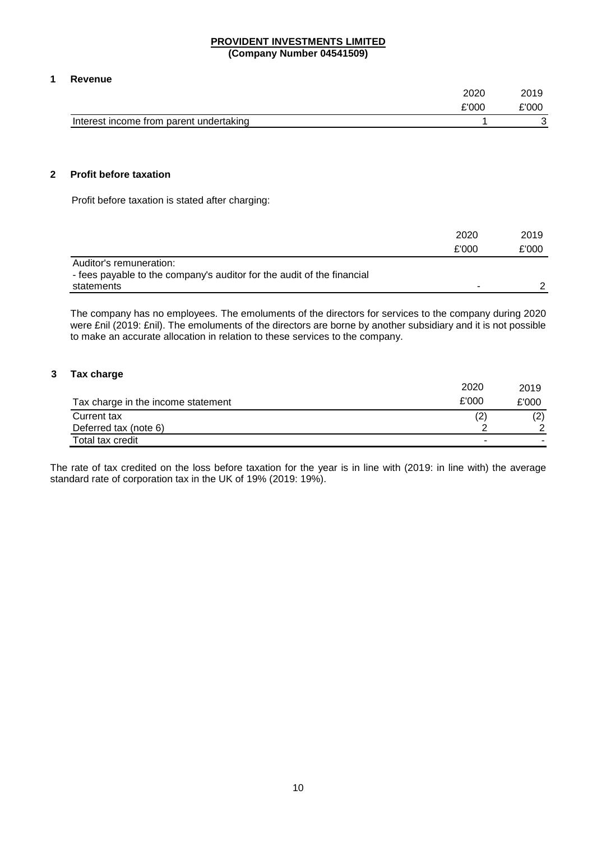#### **1 Revenue**

| 2020                                    | 2019  |  |
|-----------------------------------------|-------|--|
| £'000                                   | £'000 |  |
| Interest income from parent undertaking |       |  |

### **2 Profit before taxation**

Profit before taxation is stated after charging:

|                                                                        | 2020  | 2019  |
|------------------------------------------------------------------------|-------|-------|
|                                                                        | £'000 | £'000 |
| Auditor's remuneration:                                                |       |       |
| - fees payable to the company's auditor for the audit of the financial |       |       |
| statements                                                             |       |       |

The company has no employees. The emoluments of the directors for services to the company during 2020 were £nil (2019: £nil). The emoluments of the directors are borne by another subsidiary and it is not possible to make an accurate allocation in relation to these services to the company.

### **3 Tax charge**

|                                    | 2020  | 2019  |
|------------------------------------|-------|-------|
| Tax charge in the income statement | £'000 | £'000 |
| Current tax                        | (2    | (2)   |
| Deferred tax (note 6)              |       |       |
| Total tax credit                   | -     |       |

The rate of tax credited on the loss before taxation for the year is in line with (2019: in line with) the average standard rate of corporation tax in the UK of 19% (2019: 19%).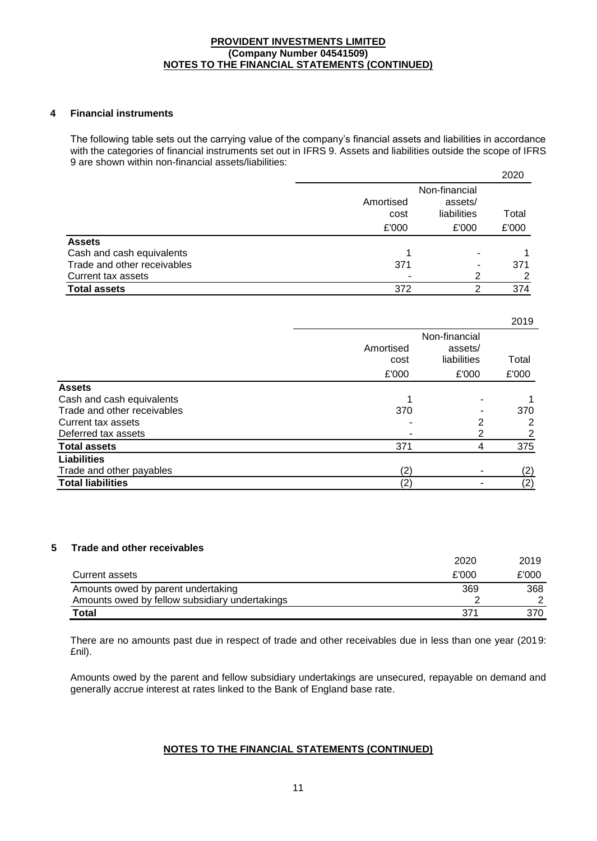### **PROVIDENT INVESTMENTS LIMITED (Company Number 04541509) NOTES TO THE FINANCIAL STATEMENTS (CONTINUED)**

### **4 Financial instruments**

The following table sets out the carrying value of the company's financial assets and liabilities in accordance with the categories of financial instruments set out in IFRS 9. Assets and liabilities outside the scope of IFRS 9 are shown within non-financial assets/liabilities:

|                             |           |                          | 2020  |
|-----------------------------|-----------|--------------------------|-------|
|                             | Amortised | Non-financial<br>assets/ |       |
|                             | cost      | liabilities              | Total |
|                             | £'000     | £'000                    | £'000 |
| <b>Assets</b>               |           |                          |       |
| Cash and cash equivalents   |           |                          |       |
| Trade and other receivables | 371       |                          | 371   |
| Current tax assets          |           | 2                        | ົ     |
| <b>Total assets</b>         | 372       | ⌒                        | 374   |

|                             |           |               | 2019  |
|-----------------------------|-----------|---------------|-------|
|                             |           | Non-financial |       |
|                             | Amortised | assets/       |       |
|                             | cost      | liabilities   | Total |
|                             | £'000     | £'000         | £'000 |
| <b>Assets</b>               |           |               |       |
| Cash and cash equivalents   |           |               |       |
| Trade and other receivables | 370       |               | 370   |
| Current tax assets          |           | 2             | 2     |
| Deferred tax assets         |           | 2             | 2     |
| <b>Total assets</b>         | 371       | 4             | 375   |
| <b>Liabilities</b>          |           |               |       |
| Trade and other payables    | (2)       |               | (2)   |
| <b>Total liabilities</b>    | (2)       |               | (2)   |

### **5 Trade and other receivables**

|                                                | 2020  | 2019  |
|------------------------------------------------|-------|-------|
| Current assets                                 | £'000 | £'000 |
| Amounts owed by parent undertaking             | 369   | 368   |
| Amounts owed by fellow subsidiary undertakings |       |       |
| Total                                          | 371   | 370   |

There are no amounts past due in respect of trade and other receivables due in less than one year (2019: £nil).

Amounts owed by the parent and fellow subsidiary undertakings are unsecured, repayable on demand and generally accrue interest at rates linked to the Bank of England base rate.

# **NOTES TO THE FINANCIAL STATEMENTS (CONTINUED)**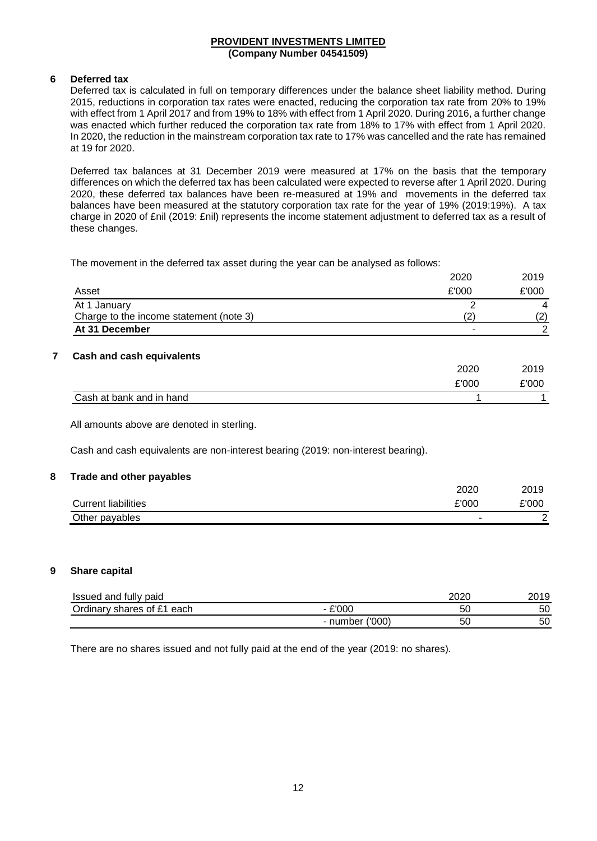### **6 Deferred tax**

Deferred tax is calculated in full on temporary differences under the balance sheet liability method. During 2015, reductions in corporation tax rates were enacted, reducing the corporation tax rate from 20% to 19% with effect from 1 April 2017 and from 19% to 18% with effect from 1 April 2020. During 2016, a further change was enacted which further reduced the corporation tax rate from 18% to 17% with effect from 1 April 2020. In 2020, the reduction in the mainstream corporation tax rate to 17% was cancelled and the rate has remained at 19 for 2020.

Deferred tax balances at 31 December 2019 were measured at 17% on the basis that the temporary differences on which the deferred tax has been calculated were expected to reverse after 1 April 2020. During 2020, these deferred tax balances have been re-measured at 19% and movements in the deferred tax balances have been measured at the statutory corporation tax rate for the year of 19% (2019:19%). A tax charge in 2020 of £nil (2019: £nil) represents the income statement adjustment to deferred tax as a result of these changes.

The movement in the deferred tax asset during the year can be analysed as follows:

|                                         | 2020                     | 2019  |
|-----------------------------------------|--------------------------|-------|
| Asset                                   | £'000                    | £'000 |
| At 1 January                            |                          |       |
| Charge to the income statement (note 3) | (2.                      | (2)   |
| At 31 December                          | $\overline{\phantom{a}}$ | ົ     |

### **7 Cash and cash equivalents**

|                          | 2020  | 2019  |
|--------------------------|-------|-------|
|                          | £'000 | £'000 |
| Cash at bank and in hand |       |       |

All amounts above are denoted in sterling.

Cash and cash equivalents are non-interest bearing (2019: non-interest bearing).

# **8 Trade and other payables**

| Other payables             |       | ◠     |
|----------------------------|-------|-------|
| <b>Current liabilities</b> | 000'£ | 000'3 |
|                            | 2020  | 2019  |

### **9 Share capital**

| Issued and fully paid            |                                     | റററ<br>∠∪∠∪ | 2019 |
|----------------------------------|-------------------------------------|-------------|------|
| shares of £1<br>Ordinarv<br>each | £'000                               | 50          | 50   |
|                                  | $^{\prime\prime}000$<br>number<br>- | 50          | 50   |

There are no shares issued and not fully paid at the end of the year (2019: no shares).